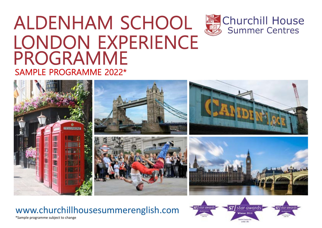## ALDENHAM SCHOOL **Churchill House Summer Centres** LONDON EXPERIENCE PROGRAMME SAMPLE PROGRAMME 2022\*



## www.churchillhousesummerenglish.com



\*Sample programme subject to change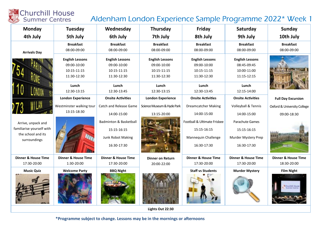### Churchill House Aldenham London Experience Sample Programme 2022\* Week 1 **Summer Centres Wednesday Thursdav** Monday Tuesday Friday Saturday Sunday 4th July 5th July 6th July 7th July 8th July 9th July 10th July Breakfast Breakfast Breakfast Breakfast Breakfast Breakfast 08:00-09:00 08:00-09:00 08:00-09:00 08:00-09:00 08:00-09:00 08:00-09:00 Arrivals Day English Lessons English Lessons English Lessons English Lessons English Lessons 09:00-10:00 09:00-10:00 09:00-10:00 09:00-10:00 08:45-09:45 10:15-11:15 10:15-11:15 10:15-11:15 10:15-11:15 10:00-11:00 11:30-12:30 11:30-12:30 11:30-12:30 11:30-12:30 11:15-12:15 Lunch Lunch Lunch Lunch Lunch 12:30-13:15 12:30-13:45 12:30-13:15 12:30-13:45 12:15-14:00 **Onsite Activities** London Experience **Onsite Activities** London Experience **Onsite Activities** Full Day Excursion Westminster walking tour Catch and Release Game Science Museum & Hyde Park Dreamcatcher Making Volleyball & Tennis Oxford & University College 13:15-18:30 14:00-15:00 13:15-20:00 14:00-15:00 14:00-15:00 09:00-18:30 Badminton & Basketball Football & Ultimate Frisbee Parachute Games Arrive, unpack and familiarise yourself with 15:15-16:15 15:15-16:15 15:15-16:15 the school and its Junk Robot Making Mannequin Challenge Murder Mystery Prep surroundings 16:30-17:30 16:30-17:30 16:30-17:30 Dinner & House Time Dinner & House Time Dinner & House Time Dinner & House Time Dinner & House Time Dinner & House Time Dinner on Return 17:30-20:00 1:30-20:00 17:30-20:00 17:30-20:00 17:30-20:00 18:30-20:00 20:00-22:00 Music Quiz Welcome Party BBQ Night Staff vs Students Murder Mystery Film Night

Lights Out 22:30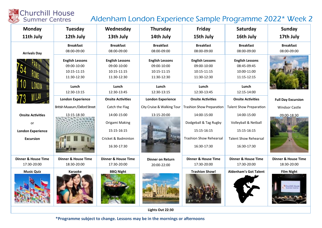### Churchill House Aldenham London Experience Sample Programme 2022\* Week 2 **Summer Centres** Monday **Wednesday Thursdav** Tuesday Friday Saturday Sunday 11th July 12th July 13th July 14th July 15th July 16th July 17th July Breakfast Breakfast Breakfast Breakfast Breakfast Breakfast 08:00-09:00 08:00-09:00 08:00-09:00 08:00-09:00 08:00-09:00 08:00-09:00 Arrivals Day English Lessons English Lessons English Lessons English Lessons English Lessons 09:00-10:00 09:00-10:00 09:00-10:00 09:00-10:00 08:45-09:45 10:15-11:15 10:15-11:15 10:15-11:15 10:15-11:15 10:00-11:00 11:30-12:30 11:30-12:30 11:30-12:30 11:30-12:30 11:15-12:15 Lunch Lunch Lunch Lunch Lunch 12:30-13:15 12:30-13:45 12:30-13:15 12:30-13:45 12:15-14:00 London Experience **Onsite Activities** London Experience **Onsite Activities Onsite Activities** Full Day Excursion British Museum / Oxford Street Catch the Flag City Cruise & Walking Tour **Trashion Show Preparation** Talent Show PreparaƟon Windsor Castle 14:00-15:00 **Onsite Activities** 13:15-18:30 14:00-15:00 13:15-20:00 14:00-15:00 09:00-18:30 Origami Making Dodgeball & Tag Rugby Volleyball & Netball or 15:15-16:15 15:15-16:15 15:15-16:15 London Experience Trashion Show Rehearsal Talent Show Rehearsal Cricket & Badminton Excursion 16:30-17:30 16:30-17:30 16:30-17:30 Dinner & House Time Dinner & House Time Dinner & House Time Dinner & House Time Dinner & House Time Dinner & House Time Dinner on Return 17:30-20:00 18:30-20:00 17:30-20:00 17:30-20:00 17:30-20:00 18:30-20:00 20:00-22:00 Music Quiz Saraoke BBQ Night Nusic Quiz Aldenham's Got Talent Film Night Trashion Show! Aldenham's Got Talent Film Night

Lights Out 22:30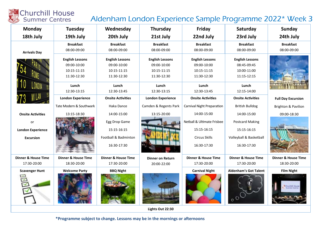### Churchill House Aldenham London Experience Sample Programme 2022\* Week 3 **Summer Centres Wednesday Thursdav** Monday Tuesday Friday Saturday Sunday 18th July 19th July 20th July 21st July 22nd July 23rd July 24th July Breakfast Breakfast Breakfast Breakfast Breakfast Breakfast 08:00-09:00 08:00-09:00 08:00-09:00 08:00-09:00 08:00-09:00 08:00-09:00 Arrivals Day English Lessons English Lessons English Lessons English Lessons English Lessons 09:00-10:00 09:00-10:00 09:00-10:00 09:00-10:00 08:45-09:45 10:15-11:15 10:15-11:15 10:15-11:15 10:15-11:15 10:00-11:00 11:30-12:30 11:30-12:30 11:30-12:30 11:30-12:30 11:15-12:15 Lunch Lunch Lunch Lunch Lunch 12:30-13:15 12:30-13:45 12:30-13:15 12:30-13:45 12:15-14:00 **Onsite Activities** London Experience **Onsite Activities** London Experience **Onsite Activities** Full Day Excursion Tate Modern & Southwark Haka Dance Camden & Regents Park Carnival Night PreparaƟon British Bulldog Brighton & Pavilion 13:15-18:30 14:00-15:00 13:15-20:00 14:00-15:00 14:00-15:00 Onsite Activities 09:00-18:30 Egg Drop Game **Netball & Ultimate Frisbee** Postcard Making or 15:15-16:15 15:15-16:15 15:15-16:15 London Experience Football & Badminton Circus Skills Volleyball & Basketball Excursion 16:30-17:30 16:30-17:30 16:30-17:30 Dinner & House Time Dinner & House Time Dinner & House Time Dinner on Return Dinner & House Time Dinner & House Time Dinner & House Time 17:30-20:00 17:30-20:00 18:30-20:00 17:30-20:00 17:30-20:00 18:30-20:00 20:00-22:00 Scavenger Hunt Welcome Party BBQ Night States and Carnival Night Aldenham's Got Talent Film Night Film Night

Lights Out 22:30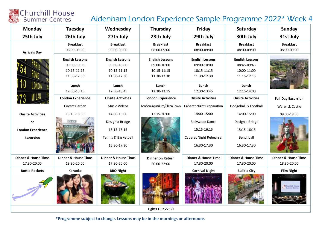### Churchill House Aldenham London Experience Sample Programme 2022\* Week 4 **Summer Centres Wednesday Thursdav** Monday Tuesday Friday Saturday Sunday 25th July 26th July 27th July 28th July 29th July 30th July 31st July Breakfast Breakfast Breakfast Breakfast Breakfast Breakfast 08:00-09:00 08:00-09:00 08:00-09:00 08:00-09:00 08:00-09:00 08:00-09:00 Arrivals Day English Lessons English Lessons English Lessons English Lessons English Lessons 09:00-10:00 09:00-10:00 09:00-10:00 09:00-10:00 08:45-09:45 10:15-11:15 10:15-11:15 10:15-11:15 10:15-11:15 10:00-11:00 11:30-12:30 11:30-12:30 11:30-12:30 11:30-12:30 11:15-12:15 Lunch Lunch Lunch Lunch Lunch 12:30-13:15 12:30-13:45 12:30-13:15 12:30-13:45 12:15-14:00 **Onsite Activities** London Experience **Onsite Activities** London Experience **Onsite Activities** Full Day Excursion Covent Garden Music Videos London Aquarium/China Town Cabaret Night Preparation Dodgeball & Football Warwick Castle 13:15-18:30 14:00-15:00 13:15-20:00 14:00-15:00 14:00-15:00 Onsite Activities 09:00-18:30 Design a Bridge Bollywood Dance Design a Bridge or 15:15-16:15 15:15-16:15 15:15-16:15 London Experience Tennis & Basketball Cabaret Night Rehearsal Benchball Excursion 16:30-17:30 16:30-17:30 16:30-17:30 Dinner & House Time Dinner & House Time Dinner & House Time Dinner on Return Dinner & House Time Dinner & House Time Dinner & House Time 17:30-20:00 18:30-20:00 17:30-20:00 17:30-20:00 17:30-20:00 18:30-20:00 20:00-22:00 Bottle Rockets | Karaoke | BBQ Night | Carnival Night | Build a City | Film Night

Lights Out 22:30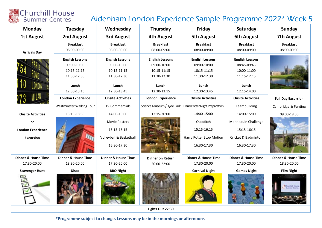# **Churchill House**<br>Summer Centres

## Aldenham London Experience Sample Programme 2022\* Week 5

| Monday                         | Tuesday                        | Wednesday                          | Thursday                   | Friday                         | Saturday                       | <b>Sunday</b>                  |
|--------------------------------|--------------------------------|------------------------------------|----------------------------|--------------------------------|--------------------------------|--------------------------------|
| <b>1st August</b>              | 2nd August                     | <b>3rd August</b>                  | 4th August                 | <b>5th August</b>              | <b>6th August</b>              | <b>7th August</b>              |
|                                | <b>Breakfast</b>               | <b>Breakfast</b>                   | <b>Breakfast</b>           | <b>Breakfast</b>               | <b>Breakfast</b>               | <b>Breakfast</b>               |
| <b>Arrivals Day</b>            | 08:00-09:00                    | 08:00-09:00                        | 08:00-09:00                | 08:00-09:00                    | 08:00-09:00                    | 08:00-09:00                    |
|                                | <b>English Lessons</b>         | <b>English Lessons</b>             | <b>English Lessons</b>     | <b>English Lessons</b>         | <b>English Lessons</b>         |                                |
|                                | 09:00-10:00                    | 09:00-10:00                        | 09:00-10:00                | 09:00-10:00                    | 08:45-09:45                    |                                |
|                                | 10:15-11:15                    | 10:15-11:15                        | 10:15-11:15                | 10:15-11:15                    | 10:00-11:00                    |                                |
|                                | 11:30-12:30                    | 11:30-12:30                        | 11:30-12:30                | 11:30-12:30                    | 11:15-12:15                    |                                |
|                                | Lunch                          | Lunch                              | Lunch                      | Lunch                          | Lunch                          |                                |
|                                | 12:30-13:15                    | 12:30-13:45                        | 12:30-13:15                | 12:30-13:45                    | 12:15-14:00                    |                                |
|                                | <b>London Experience</b>       | <b>Onsite Activities</b>           | <b>London Experience</b>   | <b>Onsite Activities</b>       | <b>Onsite Activities</b>       | <b>Full Day Excursion</b>      |
|                                | Westminster Walking Tour       | TV Commercials                     | Science Museum / Hyde Park | Harry Potter Night Preparation | Teambuilding                   | Cambridge & Punting            |
| <b>Onsite Activities</b>       | 13:15-18:30                    | 14:00-15:00                        | 13:15-20:00                | 14:00-15:00                    | 14:00-15:00                    | 09:00-18:30                    |
| or                             |                                | <b>Movie Posters</b>               |                            | Quidditch                      | Mannequin Challenge            |                                |
| <b>London Experience</b>       |                                | 15:15-16:15                        |                            | 15:15-16:15                    | 15:15-16:15                    |                                |
| <b>Excursion</b>               |                                | <b>Volleyball &amp; Basketball</b> |                            | Harry Potter Stop Motion       | Cricket & Badminton            |                                |
|                                |                                | 16:30-17:30                        |                            | 16:30-17:30                    | 16:30-17:30                    |                                |
| <b>Dinner &amp; House Time</b> | <b>Dinner &amp; House Time</b> | <b>Dinner &amp; House Time</b>     | <b>Dinner on Return</b>    | <b>Dinner &amp; House Time</b> | <b>Dinner &amp; House Time</b> | <b>Dinner &amp; House Time</b> |
| 17:30-20:00                    | 18:30-20:00                    | 17:30-20:00                        | 20:00-22:00                | 17:30-20:00                    | 17:30-20:00                    | 18:30-20:00                    |
| <b>Scavenger Hunt</b>          | <b>Disco</b>                   | <b>BBQ Night</b>                   |                            | <b>Carnival Night</b>          | <b>Games Night</b>             | <b>Film Night</b>              |
| $\geq$                         |                                |                                    |                            |                                |                                |                                |

Lights Out 22:30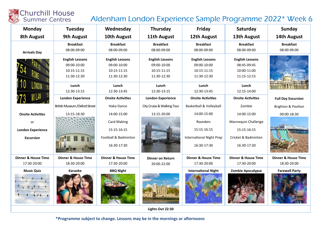## **Churchill House**<br>Summer Centres

## Aldenham London Experience Sample Programme 2022\* Week 6

| <b>Monday</b>                                      | Tuesday                                                                                     | Wednesday                                                                                   | Thursday                                                                                    | Friday                                                                                      | Saturday                                                                                    | Sunday                          |
|----------------------------------------------------|---------------------------------------------------------------------------------------------|---------------------------------------------------------------------------------------------|---------------------------------------------------------------------------------------------|---------------------------------------------------------------------------------------------|---------------------------------------------------------------------------------------------|---------------------------------|
| <b>8th August</b>                                  | <b>9th August</b>                                                                           | 10th August                                                                                 | 11th August                                                                                 | 12th August                                                                                 | 13th August                                                                                 | 14th August                     |
| <b>Arrivals Day</b>                                | <b>Breakfast</b><br>08:00-09:00                                                             | <b>Breakfast</b><br>08:00-09:00                                                             | <b>Breakfast</b><br>08:00-09:00                                                             | <b>Breakfast</b><br>08:00-09:00                                                             | <b>Breakfast</b><br>08:00-09:00                                                             | <b>Breakfast</b><br>08:00-09:00 |
|                                                    | <b>English Lessons</b><br>09:00-10:00<br>10:15-11:15<br>11:30-12:30<br>Lunch<br>12:30-13:15 | <b>English Lessons</b><br>09:00-10:00<br>10:15-11:15<br>11:30-12:30<br>Lunch<br>12:30-13:45 | <b>English Lessons</b><br>09:00-10:00<br>10:15-11:15<br>11:30-12:30<br>Lunch<br>12:30-13:15 | <b>English Lessons</b><br>09:00-10:00<br>10:15-11:15<br>11:30-12:30<br>Lunch<br>12:30-13:45 | <b>English Lessons</b><br>08:45-09:45<br>10:00-11:00<br>11:15-12:15<br>Lunch<br>12:15-14:00 |                                 |
|                                                    | <b>London Experience</b>                                                                    | <b>Onsite Activities</b>                                                                    | <b>London Experience</b>                                                                    | <b>Onsite Activities</b>                                                                    | <b>Onsite Activities</b>                                                                    | <b>Full Day Excursion</b>       |
|                                                    | British Museum / Oxford Street                                                              | Haka Dance                                                                                  | City Cruise & Walking Tour                                                                  | Basketball & Volleyball                                                                     | Zombie                                                                                      | Brighton & Pavilion             |
| <b>Onsite Activities</b>                           | 13:15-18:30                                                                                 | 14:00-15:00                                                                                 | 13:15-20:00                                                                                 | 14:00-15:00                                                                                 | 14:00-15:00                                                                                 | 09:00-18:30                     |
| or<br><b>London Experience</b><br><b>Excursion</b> |                                                                                             | <b>Card Making</b><br>15:15-16:15<br>Football & Badminton<br>16:30-17:30                    |                                                                                             | Rounders<br>15:15-16:15<br><b>International Night Prep</b><br>16:30-17:30                   | Mannequin Challenge<br>15:15-16:15<br>Cricket & Badminton<br>16:30-17:30                    |                                 |
| <b>Dinner &amp; House Time</b>                     | <b>Dinner &amp; House Time</b>                                                              | <b>Dinner &amp; House Time</b>                                                              | <b>Dinner on Return</b>                                                                     | <b>Dinner &amp; House Time</b>                                                              | <b>Dinner &amp; House Time</b>                                                              | <b>Dinner &amp; House Time</b>  |
| 17:30-20:00                                        | 18:30-20:00                                                                                 | 17:30-20:00                                                                                 | 20:00-22:00                                                                                 | 17:30-20:00                                                                                 | 17:30-20:00                                                                                 | 18:30-20:00                     |
| <b>Music Quiz</b>                                  | Karaoke                                                                                     | <b>BBQ Night</b>                                                                            |                                                                                             | <b>International Night</b>                                                                  | <b>Zombie Apocalypse</b>                                                                    | <b>Farewell Party</b>           |

Lights Out 22:30